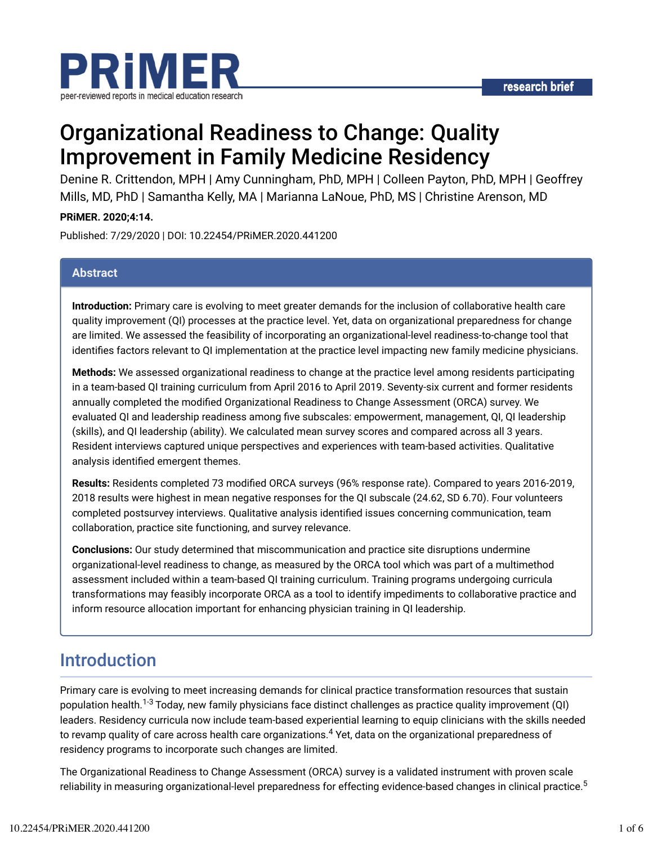

# Organizational Readiness to Change: Quality Improvement in Family Medicine Residency

Denine R. Crittendon, MPH | Amy Cunningham, PhD, MPH | Colleen Payton, PhD, MPH | Geoffrey Mills, MD, PhD | Samantha Kelly, MA | Marianna LaNoue, PhD, MS | Christine Arenson, MD

**PRiMER. 2020;4:14.**

Published: 7/29/2020 | DOI: 10.22454/PRiMER.2020.441200

#### **Abstract**

**Introduction:** Primary care is evolving to meet greater demands for the inclusion of collaborative health care quality improvement (QI) processes at the practice level. Yet, data on organizational preparedness for change are limited. We assessed the feasibility of incorporating an organizational-level readiness-to-change tool that identifies factors relevant to QI implementation at the practice level impacting new family medicine physicians.

**Methods:** We assessed organizational readiness to change at the practice level among residents participating in a team-based QI training curriculum from April 2016 to April 2019. Seventy-six current and former residents annually completed the modified Organizational Readiness to Change Assessment (ORCA) survey. We evaluated QI and leadership readiness among five subscales: empowerment, management, QI, QI leadership (skills), and QI leadership (ability). We calculated mean survey scores and compared across all 3 years. Resident interviews captured unique perspectives and experiences with team-based activities. Qualitative analysis identified emergent themes.

Results: Residents completed 73 modified ORCA surveys (96% response rate). Compared to years 2016-2019, 2018 results were highest in mean negative responses for the QI subscale (24.62, SD 6.70). Four volunteers completed postsurvey interviews. Qualitative analysis identified issues concerning communication, team collaboration, practice site functioning, and survey relevance.

**Conclusions:** Our study determined that miscommunication and practice site disruptions undermine organizational-level readiness to change, as measured by the ORCA tool which was part of a multimethod assessment included within a team-based QI training curriculum. Training programs undergoing curricula transformations may feasibly incorporate ORCA as a tool to identify impediments to collaborative practice and inform resource allocation important for enhancing physician training in QI leadership.

## Introduction

Primary care is evolving to meet increasing demands for clinical practice transformation resources that sustain population health.<sup>1-3</sup> Today, new family physicians face distinct challenges as practice quality improvement (QI) leaders. Residency curricula now include team-based experiential learning to equip clinicians with the skills needed to revamp quality of care across health care organizations.<sup>4</sup> Yet, data on the organizational preparedness of residency programs to incorporate such changes are limited.

The Organizational Readiness to Change Assessment (ORCA) survey is a validated instrument with proven scale reliability in measuring organizational-level preparedness for effecting evidence-based changes in clinical practice.<sup>5</sup>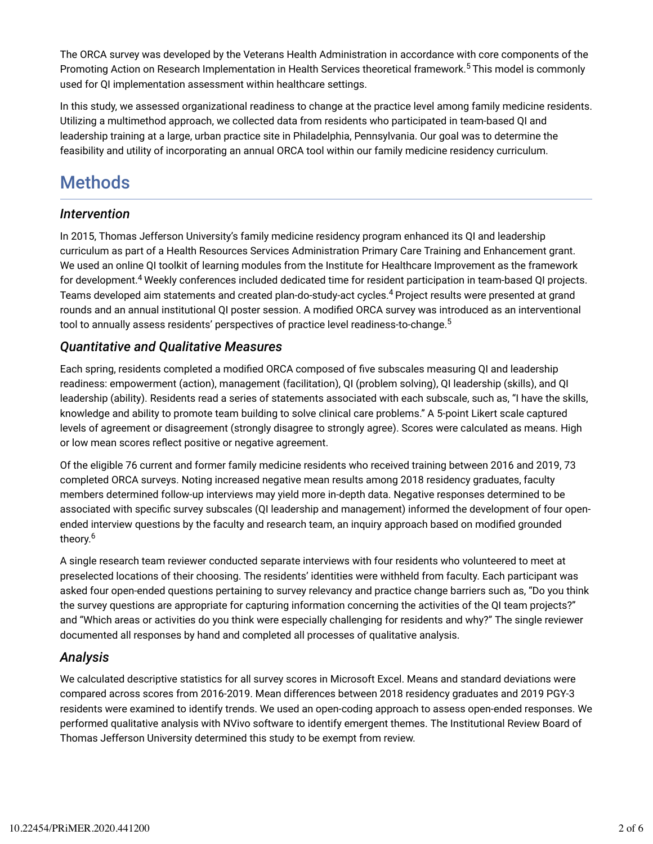The ORCA survey was developed by the Veterans Health Administration in accordance with core components of the Promoting Action on Research Implementation in Health Services theoretical framework.<sup>5</sup> This model is commonly used for QI implementation assessment within healthcare settings.

In this study, we assessed organizational readiness to change at the practice level among family medicine residents. Utilizing a multimethod approach, we collected data from residents who participated in team-based QI and leadership training at a large, urban practice site in Philadelphia, Pennsylvania. Our goal was to determine the feasibility and utility of incorporating an annual ORCA tool within our family medicine residency curriculum.

## **Methods**

## *Intervention*

In 2015, Thomas Jefferson University's family medicine residency program enhanced its QI and leadership curriculum as part of a Health Resources Services Administration Primary Care Training and Enhancement grant. We used an online QI toolkit of learning modules from the Institute for Healthcare Improvement as the framework for development.<sup>4</sup> Weekly conferences included dedicated time for resident participation in team-based QI projects. Teams developed aim statements and created plan-do-study-act cycles.<sup>4</sup> Project results were presented at grand rounds and an annual institutional QI poster session. A modified ORCA survey was introduced as an interventional tool to annually assess residents' perspectives of practice level readiness-to-change.<sup>5</sup>

## *Quantitative and Qualitative Measures*

Each spring, residents completed a modified ORCA composed of five subscales measuring QI and leadership readiness: empowerment (action), management (facilitation), QI (problem solving), QI leadership (skills), and QI leadership (ability). Residents read a series of statements associated with each subscale, such as, "I have the skills, knowledge and ability to promote team building to solve clinical care problems." A 5-point Likert scale captured levels of agreement or disagreement (strongly disagree to strongly agree). Scores were calculated as means. High or low mean scores reflect positive or negative agreement.

Of the eligible 76 current and former family medicine residents who received training between 2016 and 2019, 73 completed ORCA surveys. Noting increased negative mean results among 2018 residency graduates, faculty members determined follow-up interviews may yield more in-depth data. Negative responses determined to be associated with specific survey subscales (QI leadership and management) informed the development of four openended interview questions by the faculty and research team, an inquiry approach based on modified grounded theory. 6

A single research team reviewer conducted separate interviews with four residents who volunteered to meet at preselected locations of their choosing. The residents' identities were withheld from faculty. Each participant was asked four open-ended questions pertaining to survey relevancy and practice change barriers such as, "Do you think the survey questions are appropriate for capturing information concerning the activities of the QI team projects?" and "Which areas or activities do you think were especially challenging for residents and why?" The single reviewer documented all responses by hand and completed all processes of qualitative analysis.

## *Analysis*

We calculated descriptive statistics for all survey scores in Microsoft Excel. Means and standard deviations were compared across scores from 2016-2019. Mean differences between 2018 residency graduates and 2019 PGY-3 residents were examined to identify trends. We used an open-coding approach to assess open-ended responses. We performed qualitative analysis with NVivo software to identify emergent themes. The Institutional Review Board of Thomas Jefferson University determined this study to be exempt from review.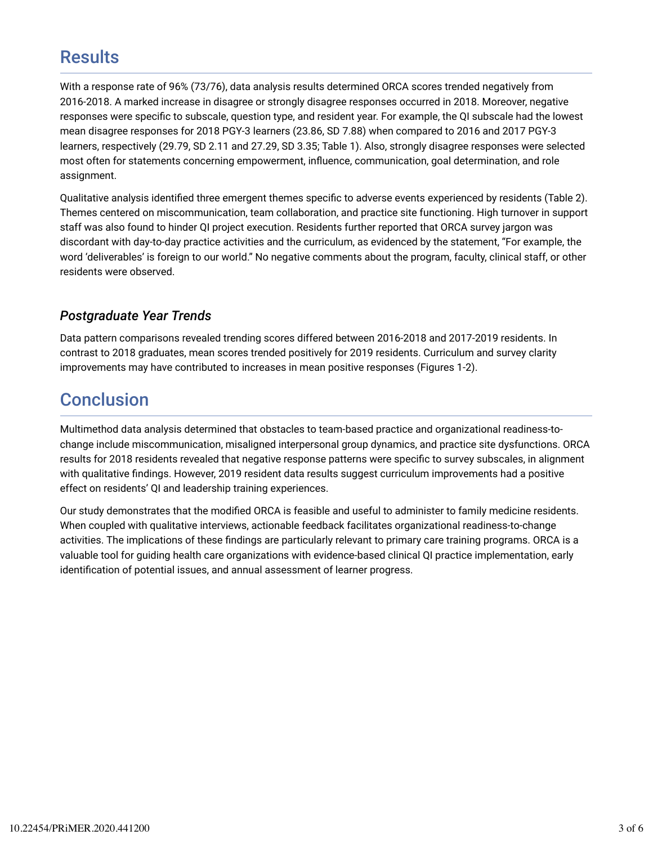## **Results**

With a response rate of 96% (73/76), data analysis results determined ORCA scores trended negatively from 2016-2018. A marked increase in disagree or strongly disagree responses occurred in 2018. Moreover, negative responses were specific to subscale, question type, and resident year. For example, the QI subscale had the lowest mean disagree responses for 2018 PGY-3 learners (23.86, SD 7.88) when compared to 2016 and 2017 PGY-3 learners, respectively (29.79, SD 2.11 and 27.29, SD 3.35; Table 1). Also, strongly disagree responses were selected most often for statements concerning empowerment, influence, communication, goal determination, and role assignment.

Qualitative analysis identified three emergent themes specific to adverse events experienced by residents (Table 2). Themes centered on miscommunication, team collaboration, and practice site functioning. High turnover in support staff was also found to hinder QI project execution. Residents further reported that ORCA survey jargon was discordant with day-to-day practice activities and the curriculum, as evidenced by the statement, "For example, the word 'deliverables' is foreign to our world." No negative comments about the program, faculty, clinical staff, or other residents were observed.

## *Postgraduate Year Trends*

Data pattern comparisons revealed trending scores differed between 2016-2018 and 2017-2019 residents. In contrast to 2018 graduates, mean scores trended positively for 2019 residents. Curriculum and survey clarity improvements may have contributed to increases in mean positive responses (Figures 1-2).

## **Conclusion**

Multimethod data analysis determined that obstacles to team-based practice and organizational readiness-tochange include miscommunication, misaligned interpersonal group dynamics, and practice site dysfunctions. ORCA results for 2018 residents revealed that negative response patterns were specific to survey subscales, in alignment with qualitative findings. However, 2019 resident data results suggest curriculum improvements had a positive effect on residents' QI and leadership training experiences.

Our study demonstrates that the modified ORCA is feasible and useful to administer to family medicine residents. When coupled with qualitative interviews, actionable feedback facilitates organizational readiness-to-change activities. The implications of these findings are particularly relevant to primary care training programs. ORCA is a valuable tool for guiding health care organizations with evidence-based clinical QI practice implementation, early identification of potential issues, and annual assessment of learner progress.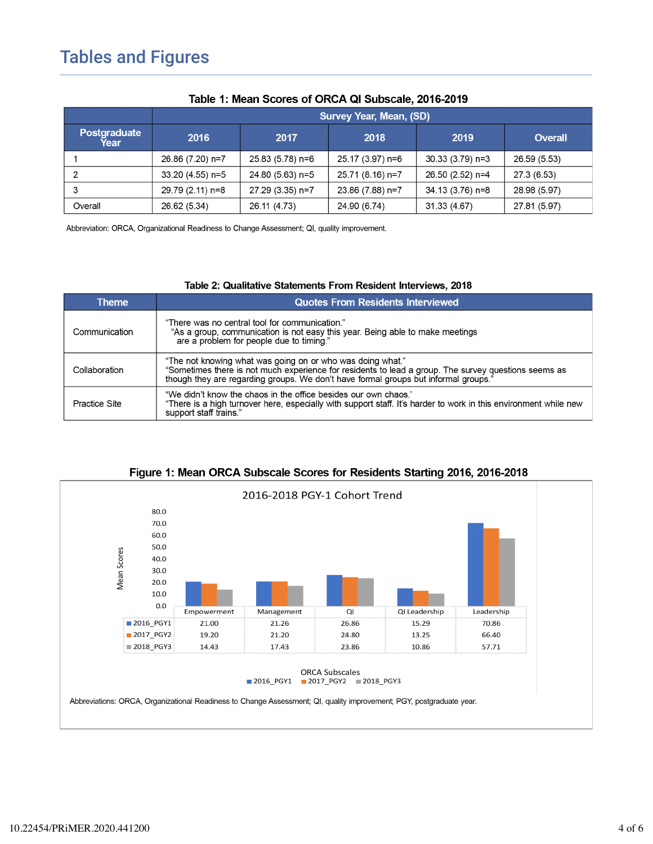## Tables and Figures

| Table 1. Mean Scores of OKCA QI Subscale, 2010-2019 |                         |                  |                  |                   |                |
|-----------------------------------------------------|-------------------------|------------------|------------------|-------------------|----------------|
|                                                     | Survey Year, Mean, (SD) |                  |                  |                   |                |
| Postgraduate<br>Year                                | 2016                    | 2017             | 2018             | 2019              | <b>Overall</b> |
|                                                     | 26.86 (7.20) n=7        | 25.83 (5.78) n=6 | 25.17 (3.97) n=6 | $30.33(3.79)$ n=3 | 26.59 (5.53)   |
|                                                     | 33.20 (4.55) n=5        | 24.80 (5.63) n=5 | 25.71 (8.16) n=7 | 26.50 (2.52) n=4  | 27.3 (6.53)    |
|                                                     | 29.79 (2.11) n=8        | 27.29 (3.35) n=7 | 23.86 (7.88) n=7 | 34.13 (3.76) n=8  | 28.98 (5.97)   |
| Overall                                             | 26.62 (5.34)            | 26.11 (4.73)     | 24.90 (6.74)     | 31.33 (4.67)      | 27.81 (5.97)   |

## Table 1: Moan Scores of OPCA OF Subscale 2016 2019

Abbreviation: ORCA, Organizational Readiness to Change Assessment; QI, quality improvement.

#### Table 2: Qualitative Statements From Resident Interviews, 2018

| <b>Theme</b>  | <b>Quotes From Residents Interviewed</b>                                                                                                                                                                                                                  |  |  |
|---------------|-----------------------------------------------------------------------------------------------------------------------------------------------------------------------------------------------------------------------------------------------------------|--|--|
| Communication | "There was no central tool for communication."<br>"As a group, communication is not easy this year. Being able to make meetings<br>are a problem for people due to timing."                                                                               |  |  |
| Collaboration | "The not knowing what was going on or who was doing what."<br>"Sometimes there is not much experience for residents to lead a group. The survey questions seems as<br>though they are regarding groups. We don't have formal groups but informal groups." |  |  |
| Practice Site | "We didn't know the chaos in the office besides our own chaos."<br>"There is a high turnover here, especially with support staff. It's harder to work in this environment while new<br>support staff trains."                                             |  |  |



#### Figure 1: Mean ORCA Subscale Scores for Residents Starting 2016, 2016-2018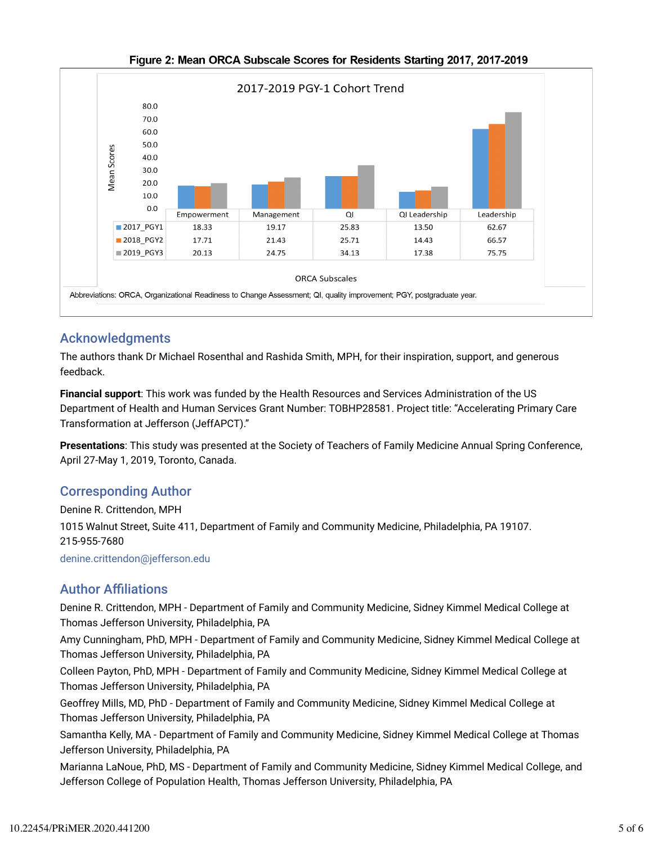

#### Figure 2: Mean ORCA Subscale Scores for Residents Starting 2017, 2017-2019

## Acknowledgments

The authors thank Dr Michael Rosenthal and Rashida Smith, MPH, for their inspiration, support, and generous feedback.

**Financial support**: This work was funded by the Health Resources and Services Administration of the US Department of Health and Human Services Grant Number: TOBHP28581. Project title: "Accelerating Primary Care Transformation at Jefferson (JeffAPCT)."

**Presentations**: This study was presented at the Society of Teachers of Family Medicine Annual Spring Conference, April 27-May 1, 2019, Toronto, Canada.

## Corresponding Author

Denine R. Crittendon, MPH

1015 Walnut Street, Suite 411, Department of Family and Community Medicine, Philadelphia, PA 19107. 215-955-7680

denine.crittendon@jefferson.edu

## **Author Affiliations**

Denine R. Crittendon, MPH - Department of Family and Community Medicine, Sidney Kimmel Medical College at Thomas Jefferson University, Philadelphia, PA

Amy Cunningham, PhD, MPH - Department of Family and Community Medicine, Sidney Kimmel Medical College at Thomas Jefferson University, Philadelphia, PA

Colleen Payton, PhD, MPH - Department of Family and Community Medicine, Sidney Kimmel Medical College at Thomas Jefferson University, Philadelphia, PA

Geoffrey Mills, MD, PhD - Department of Family and Community Medicine, Sidney Kimmel Medical College at Thomas Jefferson University, Philadelphia, PA

Samantha Kelly, MA - Department of Family and Community Medicine, Sidney Kimmel Medical College at Thomas Jefferson University, Philadelphia, PA

Marianna LaNoue, PhD, MS - Department of Family and Community Medicine, Sidney Kimmel Medical College, and Jefferson College of Population Health, Thomas Jefferson University, Philadelphia, PA